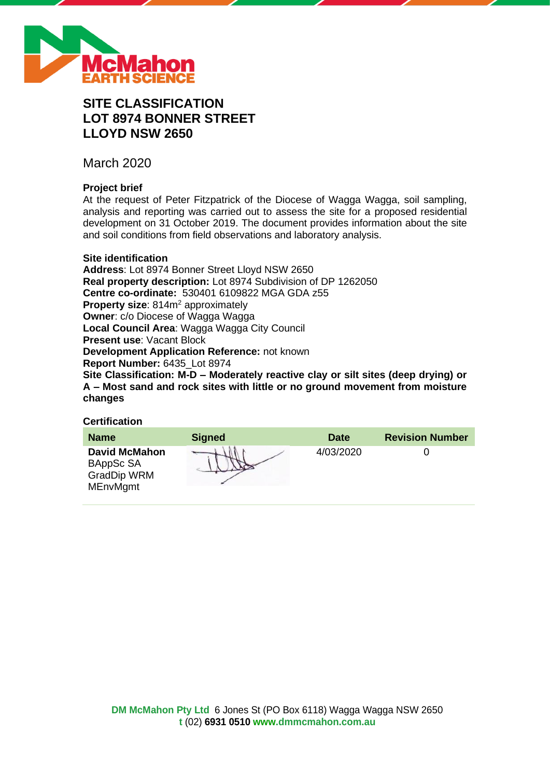

# **SITE CLASSIFICATION LOT 8974 BONNER STREET LLOYD NSW 2650**

March 2020

# **Project brief**

At the request of Peter Fitzpatrick of the Diocese of Wagga Wagga, soil sampling, analysis and reporting was carried out to assess the site for a proposed residential development on 31 October 2019. The document provides information about the site and soil conditions from field observations and laboratory analysis.

# **Site identification**

**Address**: Lot 8974 Bonner Street Lloyd NSW 2650 **Real property description:** Lot 8974 Subdivision of DP 1262050 **Centre co-ordinate:** 530401 6109822 MGA GDA z55 **Property size:** 814m<sup>2</sup> approximately **Owner**: c/o Diocese of Wagga Wagga **Local Council Area**: Wagga Wagga City Council **Present use**: Vacant Block **Development Application Reference:** not known **Report Number:** 6435\_Lot 8974 **Site Classification: M-D – Moderately reactive clay or silt sites (deep drying) or A – Most sand and rock sites with little or no ground movement from moisture changes**

# **Certification**

| <b>Name</b>                                                         | <b>Signed</b> | <b>Date</b> | <b>Revision Number</b> |
|---------------------------------------------------------------------|---------------|-------------|------------------------|
| <b>David McMahon</b><br>BAppSc SA<br>GradDip WRM<br><b>MEnvMgmt</b> |               | 4/03/2020   |                        |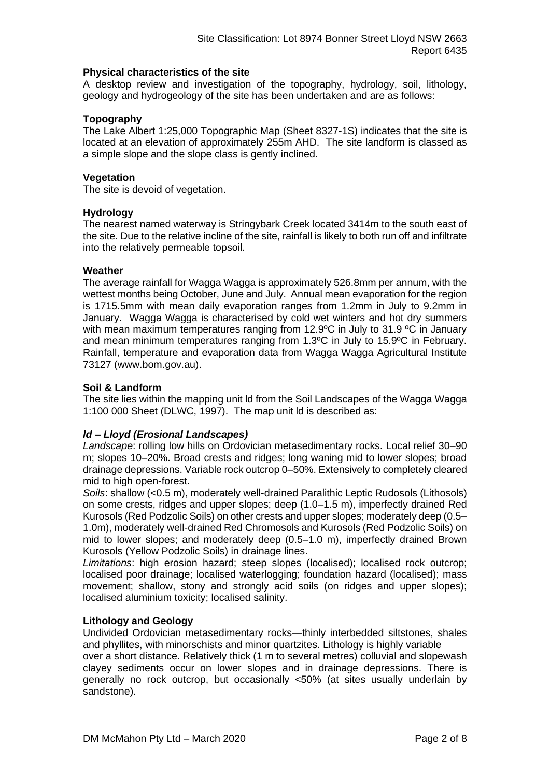# **Physical characteristics of the site**

A desktop review and investigation of the topography, hydrology, soil, lithology, geology and hydrogeology of the site has been undertaken and are as follows:

# **Topography**

The Lake Albert 1:25,000 Topographic Map (Sheet 8327-1S) indicates that the site is located at an elevation of approximately 255m AHD. The site landform is classed as a simple slope and the slope class is gently inclined.

# **Vegetation**

The site is devoid of vegetation.

# **Hydrology**

The nearest named waterway is Stringybark Creek located 3414m to the south east of the site. Due to the relative incline of the site, rainfall is likely to both run off and infiltrate into the relatively permeable topsoil.

# **Weather**

The average rainfall for Wagga Wagga is approximately 526.8mm per annum, with the wettest months being October, June and July. Annual mean evaporation for the region is 1715.5mm with mean daily evaporation ranges from 1.2mm in July to 9.2mm in January. Wagga Wagga is characterised by cold wet winters and hot dry summers with mean maximum temperatures ranging from 12.9°C in July to 31.9 °C in January and mean minimum temperatures ranging from 1.3ºC in July to 15.9ºC in February. Rainfall, temperature and evaporation data from Wagga Wagga Agricultural Institute 73127 (www.bom.gov.au).

# **Soil & Landform**

The site lies within the mapping unit ld from the Soil Landscapes of the Wagga Wagga 1:100 000 Sheet (DLWC, 1997). The map unit ld is described as:

# *ld – Lloyd (Erosional Landscapes)*

*Landscape*: rolling low hills on Ordovician metasedimentary rocks. Local relief 30–90 m; slopes 10–20%. Broad crests and ridges; long waning mid to lower slopes; broad drainage depressions. Variable rock outcrop 0–50%. Extensively to completely cleared mid to high open-forest.

*Soils*: shallow (<0.5 m), moderately well-drained Paralithic Leptic Rudosols (Lithosols) on some crests, ridges and upper slopes; deep (1.0–1.5 m), imperfectly drained Red Kurosols (Red Podzolic Soils) on other crests and upper slopes; moderately deep (0.5– 1.0m), moderately well-drained Red Chromosols and Kurosols (Red Podzolic Soils) on mid to lower slopes; and moderately deep (0.5–1.0 m), imperfectly drained Brown Kurosols (Yellow Podzolic Soils) in drainage lines.

*Limitations*: high erosion hazard; steep slopes (localised); localised rock outcrop; localised poor drainage; localised waterlogging; foundation hazard (localised); mass movement; shallow, stony and strongly acid soils (on ridges and upper slopes); localised aluminium toxicity; localised salinity.

### **Lithology and Geology**

Undivided Ordovician metasedimentary rocks—thinly interbedded siltstones, shales and phyllites, with minorschists and minor quartzites. Lithology is highly variable

over a short distance. Relatively thick (1 m to several metres) colluvial and slopewash clayey sediments occur on lower slopes and in drainage depressions. There is generally no rock outcrop, but occasionally <50% (at sites usually underlain by sandstone).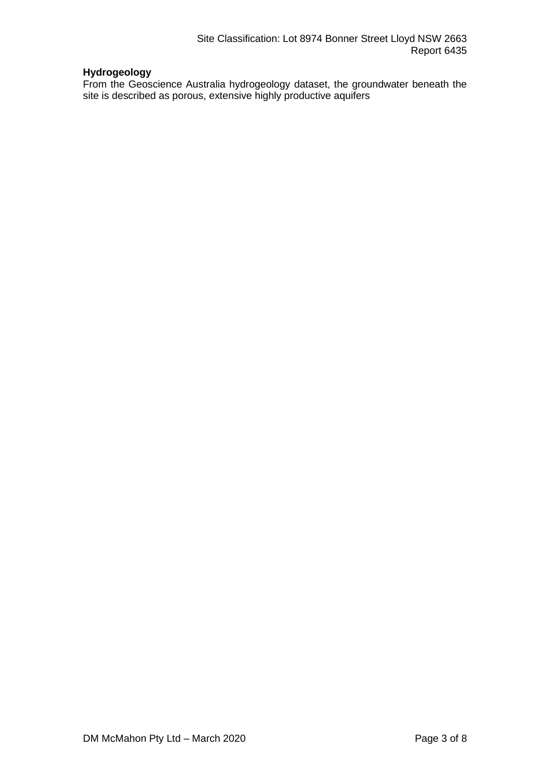# **Hydrogeology**

From the Geoscience Australia hydrogeology dataset, the groundwater beneath the site is described as porous, extensive highly productive aquifers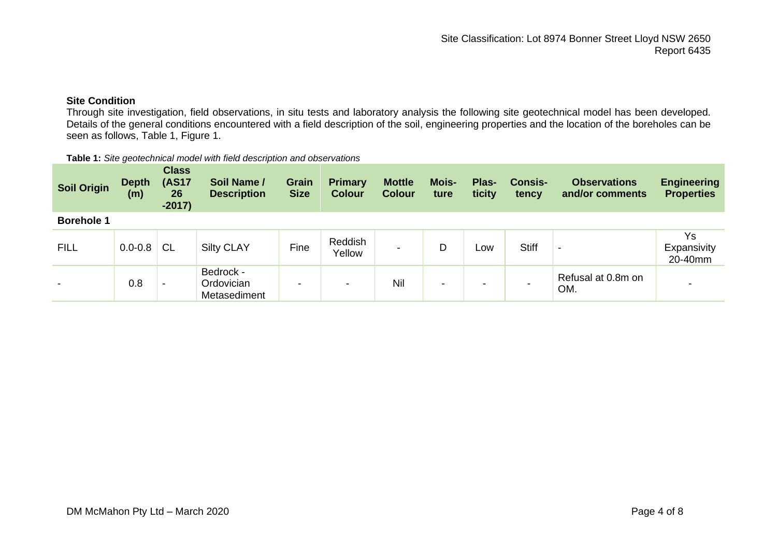# **Site Condition**

Through site investigation, field observations, in situ tests and laboratory analysis the following site geotechnical model has been developed. Details of the general conditions encountered with a field description of the soil, engineering properties and the location of the boreholes can be seen as follows, Table 1, Figure 1.

#### **Table 1:** *Site geotechnical model with field description and observations*

| <b>Soil Origin</b> | <b>Depth</b><br>(m) | <b>Class</b><br><b>(AS17</b><br>26<br>$-2017)$ | Soil Name /<br><b>Description</b>       | <b>Grain</b><br><b>Size</b> | <b>Primary</b><br><b>Colour</b> | <b>Mottle</b><br><b>Colour</b> | Mois-<br>ture | Plas-<br>ticity | <b>Consis-</b><br>tency | <b>Observations</b><br>and/or comments | <b>Engineering</b><br><b>Properties</b> |
|--------------------|---------------------|------------------------------------------------|-----------------------------------------|-----------------------------|---------------------------------|--------------------------------|---------------|-----------------|-------------------------|----------------------------------------|-----------------------------------------|
| <b>Borehole 1</b>  |                     |                                                |                                         |                             |                                 |                                |               |                 |                         |                                        |                                         |
| <b>FILL</b>        | $0.0 - 0.8$         | <b>CL</b>                                      | <b>Silty CLAY</b>                       | Fine                        | Reddish<br>Yellow               |                                | D             | Low             | <b>Stiff</b>            |                                        | Ys<br>Expansivity<br>20-40mm            |
|                    | 0.8                 | -                                              | Bedrock -<br>Ordovician<br>Metasediment | -                           | $\,$                            | Nil                            | -             |                 |                         | Refusal at 0.8m on<br>OM.              |                                         |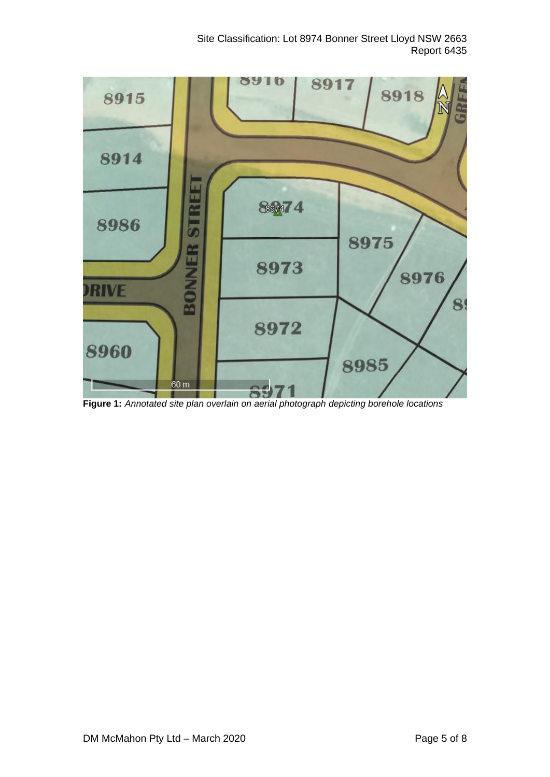

**Figure 1:** *Annotated site plan overlain on aerial photograph depicting borehole locations*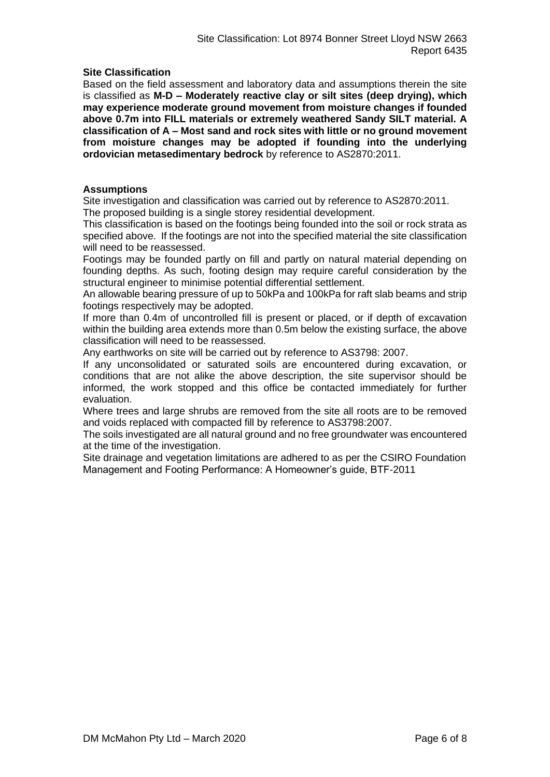# **Site Classification**

Based on the field assessment and laboratory data and assumptions therein the site is classified as **M-D – Moderately reactive clay or silt sites (deep drying), which may experience moderate ground movement from moisture changes if founded above 0.7m into FILL materials or extremely weathered Sandy SILT material. A classification of A – Most sand and rock sites with little or no ground movement from moisture changes may be adopted if founding into the underlying ordovician metasedimentary bedrock** by reference to AS2870:2011.

# **Assumptions**

Site investigation and classification was carried out by reference to AS2870:2011. The proposed building is a single storey residential development.

This classification is based on the footings being founded into the soil or rock strata as specified above. If the footings are not into the specified material the site classification will need to be reassessed.

Footings may be founded partly on fill and partly on natural material depending on founding depths. As such, footing design may require careful consideration by the structural engineer to minimise potential differential settlement.

An allowable bearing pressure of up to 50kPa and 100kPa for raft slab beams and strip footings respectively may be adopted.

If more than 0.4m of uncontrolled fill is present or placed, or if depth of excavation within the building area extends more than 0.5m below the existing surface, the above classification will need to be reassessed.

Any earthworks on site will be carried out by reference to AS3798: 2007.

If any unconsolidated or saturated soils are encountered during excavation, or conditions that are not alike the above description, the site supervisor should be informed, the work stopped and this office be contacted immediately for further evaluation.

Where trees and large shrubs are removed from the site all roots are to be removed and voids replaced with compacted fill by reference to AS3798:2007.

The soils investigated are all natural ground and no free groundwater was encountered at the time of the investigation.

Site drainage and vegetation limitations are adhered to as per the CSIRO Foundation Management and Footing Performance: A Homeowner's guide, BTF-2011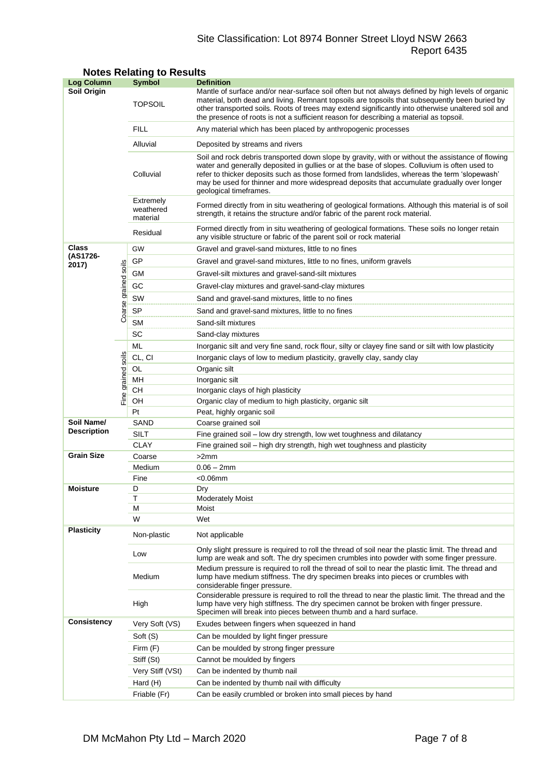# Site Classification: Lot 8974 Bonner Street Lloyd NSW 2663 Report 6435

| <b>Log Column</b>  |                | <b>Symbol</b>                                                                                                                                                                                                              | <b>Definition</b>                                                                                                                                                                                                                                                                                                                                                                                                          |  |  |  |  |
|--------------------|----------------|----------------------------------------------------------------------------------------------------------------------------------------------------------------------------------------------------------------------------|----------------------------------------------------------------------------------------------------------------------------------------------------------------------------------------------------------------------------------------------------------------------------------------------------------------------------------------------------------------------------------------------------------------------------|--|--|--|--|
| <b>Soil Origin</b> |                | <b>TOPSOIL</b>                                                                                                                                                                                                             | Mantle of surface and/or near-surface soil often but not always defined by high levels of organic<br>material, both dead and living. Remnant topsoils are topsoils that subsequently been buried by<br>other transported soils. Roots of trees may extend significantly into otherwise unaltered soil and<br>the presence of roots is not a sufficient reason for describing a material as topsoil.                        |  |  |  |  |
|                    |                | <b>FILL</b>                                                                                                                                                                                                                | Any material which has been placed by anthropogenic processes                                                                                                                                                                                                                                                                                                                                                              |  |  |  |  |
|                    |                | Alluvial                                                                                                                                                                                                                   | Deposited by streams and rivers                                                                                                                                                                                                                                                                                                                                                                                            |  |  |  |  |
|                    |                | Colluvial                                                                                                                                                                                                                  | Soil and rock debris transported down slope by gravity, with or without the assistance of flowing<br>water and generally deposited in gullies or at the base of slopes. Colluvium is often used to<br>refer to thicker deposits such as those formed from landslides, whereas the term 'slopewash'<br>may be used for thinner and more widespread deposits that accumulate gradually over longer<br>geological timeframes. |  |  |  |  |
|                    |                | Extremely<br>Formed directly from in situ weathering of geological formations. Although this material is of soil<br>weathered<br>strength, it retains the structure and/or fabric of the parent rock material.<br>material |                                                                                                                                                                                                                                                                                                                                                                                                                            |  |  |  |  |
|                    |                | Residual                                                                                                                                                                                                                   | Formed directly from in situ weathering of geological formations. These soils no longer retain<br>any visible structure or fabric of the parent soil or rock material                                                                                                                                                                                                                                                      |  |  |  |  |
| <b>Class</b>       |                | GW                                                                                                                                                                                                                         | Gravel and gravel-sand mixtures, little to no fines                                                                                                                                                                                                                                                                                                                                                                        |  |  |  |  |
| (AS1726-           |                | GP                                                                                                                                                                                                                         | Gravel and gravel-sand mixtures, little to no fines, uniform gravels                                                                                                                                                                                                                                                                                                                                                       |  |  |  |  |
| 2017)              | soils          | GМ<br>Gravel-silt mixtures and gravel-sand-silt mixtures                                                                                                                                                                   |                                                                                                                                                                                                                                                                                                                                                                                                                            |  |  |  |  |
|                    |                | GC                                                                                                                                                                                                                         |                                                                                                                                                                                                                                                                                                                                                                                                                            |  |  |  |  |
|                    |                |                                                                                                                                                                                                                            | Gravel-clay mixtures and gravel-sand-clay mixtures                                                                                                                                                                                                                                                                                                                                                                         |  |  |  |  |
|                    | Coarse grained | SW                                                                                                                                                                                                                         | Sand and gravel-sand mixtures, little to no fines                                                                                                                                                                                                                                                                                                                                                                          |  |  |  |  |
|                    |                | <b>SP</b>                                                                                                                                                                                                                  | Sand and gravel-sand mixtures, little to no fines                                                                                                                                                                                                                                                                                                                                                                          |  |  |  |  |
|                    |                | <b>SM</b>                                                                                                                                                                                                                  | Sand-silt mixtures                                                                                                                                                                                                                                                                                                                                                                                                         |  |  |  |  |
|                    |                | SC                                                                                                                                                                                                                         | Sand-clay mixtures                                                                                                                                                                                                                                                                                                                                                                                                         |  |  |  |  |
|                    |                | ML                                                                                                                                                                                                                         | Inorganic silt and very fine sand, rock flour, silty or clayey fine sand or silt with low plasticity                                                                                                                                                                                                                                                                                                                       |  |  |  |  |
|                    | soils          | CL, CI                                                                                                                                                                                                                     | Inorganic clays of low to medium plasticity, gravelly clay, sandy clay                                                                                                                                                                                                                                                                                                                                                     |  |  |  |  |
|                    |                | OL                                                                                                                                                                                                                         | Organic silt                                                                                                                                                                                                                                                                                                                                                                                                               |  |  |  |  |
|                    | grained        | MН                                                                                                                                                                                                                         | Inorganic silt                                                                                                                                                                                                                                                                                                                                                                                                             |  |  |  |  |
|                    | Fine           | CН                                                                                                                                                                                                                         | Inorganic clays of high plasticity                                                                                                                                                                                                                                                                                                                                                                                         |  |  |  |  |
|                    |                | OH                                                                                                                                                                                                                         | Organic clay of medium to high plasticity, organic silt                                                                                                                                                                                                                                                                                                                                                                    |  |  |  |  |
| Soil Name/         |                | Pt                                                                                                                                                                                                                         | Peat, highly organic soil                                                                                                                                                                                                                                                                                                                                                                                                  |  |  |  |  |
| <b>Description</b> |                | SAND                                                                                                                                                                                                                       | Coarse grained soil                                                                                                                                                                                                                                                                                                                                                                                                        |  |  |  |  |
|                    |                | SILT<br><b>CLAY</b>                                                                                                                                                                                                        | Fine grained soil - low dry strength, low wet toughness and dilatancy<br>Fine grained soil - high dry strength, high wet toughness and plasticity                                                                                                                                                                                                                                                                          |  |  |  |  |
| <b>Grain Size</b>  |                | Coarse                                                                                                                                                                                                                     | >2mm                                                                                                                                                                                                                                                                                                                                                                                                                       |  |  |  |  |
|                    |                | Medium                                                                                                                                                                                                                     | $0.06 - 2mm$                                                                                                                                                                                                                                                                                                                                                                                                               |  |  |  |  |
|                    |                | Fine                                                                                                                                                                                                                       | $<$ 0.06 $mm$                                                                                                                                                                                                                                                                                                                                                                                                              |  |  |  |  |
| <b>Moisture</b>    |                | D                                                                                                                                                                                                                          | Dry                                                                                                                                                                                                                                                                                                                                                                                                                        |  |  |  |  |
|                    |                | T                                                                                                                                                                                                                          | <b>Moderately Moist</b>                                                                                                                                                                                                                                                                                                                                                                                                    |  |  |  |  |
|                    |                | М                                                                                                                                                                                                                          | Moist                                                                                                                                                                                                                                                                                                                                                                                                                      |  |  |  |  |
|                    |                | W                                                                                                                                                                                                                          | Wet                                                                                                                                                                                                                                                                                                                                                                                                                        |  |  |  |  |
| <b>Plasticity</b>  |                | Non-plastic                                                                                                                                                                                                                | Not applicable                                                                                                                                                                                                                                                                                                                                                                                                             |  |  |  |  |
|                    |                | Low                                                                                                                                                                                                                        | Only slight pressure is required to roll the thread of soil near the plastic limit. The thread and<br>lump are weak and soft. The dry specimen crumbles into powder with some finger pressure.                                                                                                                                                                                                                             |  |  |  |  |
|                    |                | Medium                                                                                                                                                                                                                     | Medium pressure is required to roll the thread of soil to near the plastic limit. The thread and<br>lump have medium stiffness. The dry specimen breaks into pieces or crumbles with<br>considerable finger pressure.                                                                                                                                                                                                      |  |  |  |  |
|                    |                | High                                                                                                                                                                                                                       | Considerable pressure is required to roll the thread to near the plastic limit. The thread and the<br>lump have very high stiffness. The dry specimen cannot be broken with finger pressure.<br>Specimen will break into pieces between thumb and a hard surface.                                                                                                                                                          |  |  |  |  |
| <b>Consistency</b> |                | Very Soft (VS)                                                                                                                                                                                                             | Exudes between fingers when squeezed in hand                                                                                                                                                                                                                                                                                                                                                                               |  |  |  |  |
|                    |                | Soft (S)                                                                                                                                                                                                                   | Can be moulded by light finger pressure                                                                                                                                                                                                                                                                                                                                                                                    |  |  |  |  |
|                    |                | Firm $(F)$                                                                                                                                                                                                                 | Can be moulded by strong finger pressure                                                                                                                                                                                                                                                                                                                                                                                   |  |  |  |  |
|                    |                | Stiff (St)                                                                                                                                                                                                                 | Cannot be moulded by fingers                                                                                                                                                                                                                                                                                                                                                                                               |  |  |  |  |
|                    |                | Very Stiff (VSt)                                                                                                                                                                                                           | Can be indented by thumb nail                                                                                                                                                                                                                                                                                                                                                                                              |  |  |  |  |
|                    |                | Hard (H)                                                                                                                                                                                                                   | Can be indented by thumb nail with difficulty                                                                                                                                                                                                                                                                                                                                                                              |  |  |  |  |
|                    |                | Friable (Fr)                                                                                                                                                                                                               | Can be easily crumbled or broken into small pieces by hand                                                                                                                                                                                                                                                                                                                                                                 |  |  |  |  |

# **Notes Relating to Results**